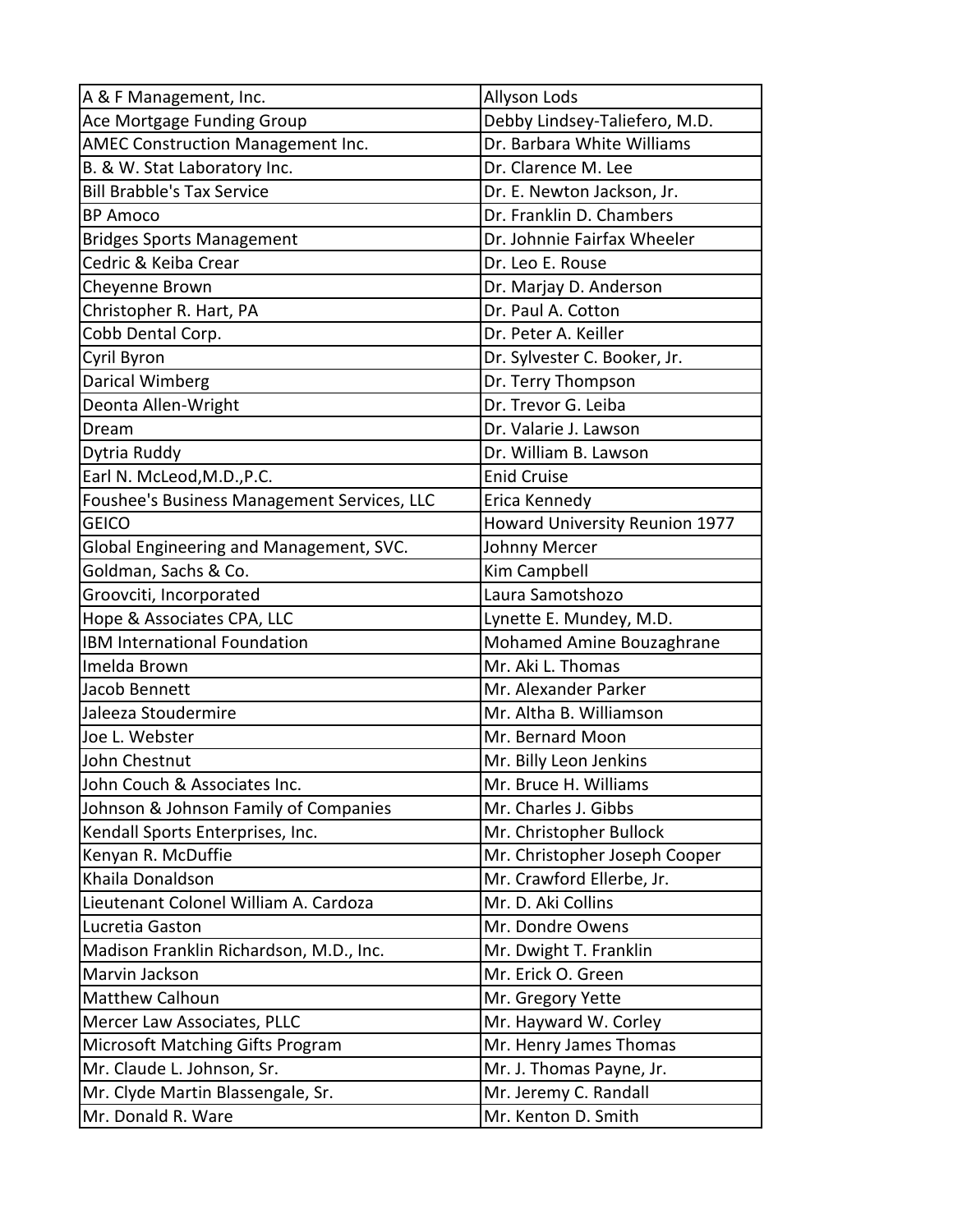| A & F Management, Inc.                      | Allyson Lods                          |
|---------------------------------------------|---------------------------------------|
| Ace Mortgage Funding Group                  | Debby Lindsey-Taliefero, M.D.         |
| AMEC Construction Management Inc.           | Dr. Barbara White Williams            |
| B. & W. Stat Laboratory Inc.                | Dr. Clarence M. Lee                   |
| <b>Bill Brabble's Tax Service</b>           | Dr. E. Newton Jackson, Jr.            |
| <b>BP Amoco</b>                             | Dr. Franklin D. Chambers              |
| <b>Bridges Sports Management</b>            | Dr. Johnnie Fairfax Wheeler           |
| Cedric & Keiba Crear                        | Dr. Leo E. Rouse                      |
| Cheyenne Brown                              | Dr. Marjay D. Anderson                |
| Christopher R. Hart, PA                     | Dr. Paul A. Cotton                    |
| Cobb Dental Corp.                           | Dr. Peter A. Keiller                  |
| Cyril Byron                                 | Dr. Sylvester C. Booker, Jr.          |
| Darical Wimberg                             | Dr. Terry Thompson                    |
| Deonta Allen-Wright                         | Dr. Trevor G. Leiba                   |
| Dream                                       | Dr. Valarie J. Lawson                 |
| Dytria Ruddy                                | Dr. William B. Lawson                 |
| Earl N. McLeod, M.D., P.C.                  | <b>Enid Cruise</b>                    |
| Foushee's Business Management Services, LLC | Erica Kennedy                         |
| <b>GEICO</b>                                | <b>Howard University Reunion 1977</b> |
| Global Engineering and Management, SVC.     | Johnny Mercer                         |
| Goldman, Sachs & Co.                        | Kim Campbell                          |
| Groovciti, Incorporated                     | Laura Samotshozo                      |
| Hope & Associates CPA, LLC                  | Lynette E. Mundey, M.D.               |
| IBM International Foundation                | Mohamed Amine Bouzaghrane             |
| Imelda Brown                                | Mr. Aki L. Thomas                     |
| Jacob Bennett                               | Mr. Alexander Parker                  |
| Jaleeza Stoudermire                         | Mr. Altha B. Williamson               |
| Joe L. Webster                              | Mr. Bernard Moon                      |
| John Chestnut                               | Mr. Billy Leon Jenkins                |
| John Couch & Associates Inc.                | Mr. Bruce H. Williams                 |
| Johnson & Johnson Family of Companies       | Mr. Charles J. Gibbs                  |
| Kendall Sports Enterprises, Inc.            | Mr. Christopher Bullock               |
| Kenyan R. McDuffie                          | Mr. Christopher Joseph Cooper         |
| Khaila Donaldson                            | Mr. Crawford Ellerbe, Jr.             |
| Lieutenant Colonel William A. Cardoza       | Mr. D. Aki Collins                    |
| Lucretia Gaston                             | Mr. Dondre Owens                      |
| Madison Franklin Richardson, M.D., Inc.     | Mr. Dwight T. Franklin                |
| Marvin Jackson                              | Mr. Erick O. Green                    |
| Matthew Calhoun                             | Mr. Gregory Yette                     |
| Mercer Law Associates, PLLC                 | Mr. Hayward W. Corley                 |
| Microsoft Matching Gifts Program            | Mr. Henry James Thomas                |
| Mr. Claude L. Johnson, Sr.                  | Mr. J. Thomas Payne, Jr.              |
| Mr. Clyde Martin Blassengale, Sr.           | Mr. Jeremy C. Randall                 |
| Mr. Donald R. Ware                          | Mr. Kenton D. Smith                   |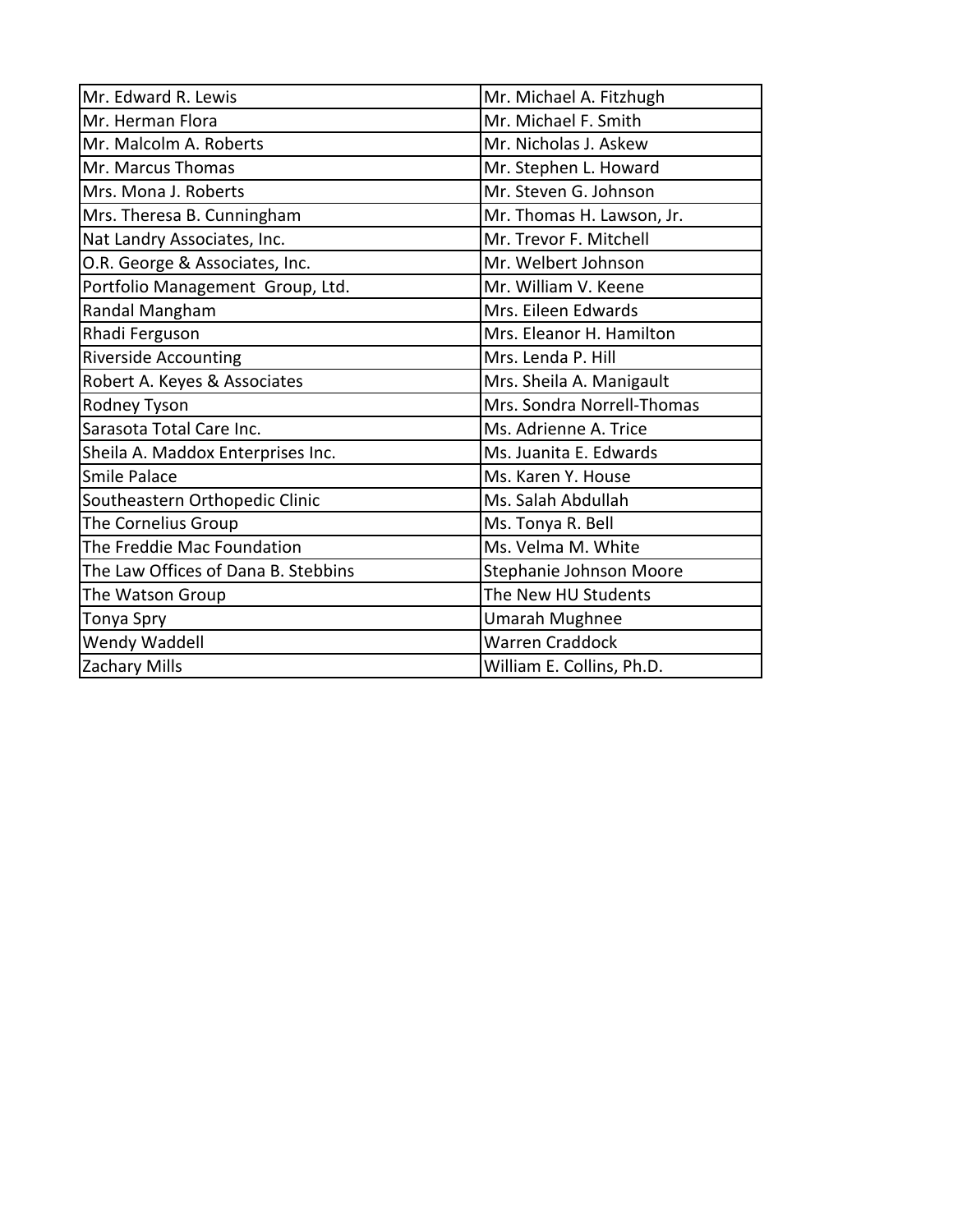| Mr. Edward R. Lewis                 | Mr. Michael A. Fitzhugh    |
|-------------------------------------|----------------------------|
| Mr. Herman Flora                    | Mr. Michael F. Smith       |
| Mr. Malcolm A. Roberts              | Mr. Nicholas J. Askew      |
| Mr. Marcus Thomas                   | Mr. Stephen L. Howard      |
| Mrs. Mona J. Roberts                | Mr. Steven G. Johnson      |
| Mrs. Theresa B. Cunningham          | Mr. Thomas H. Lawson, Jr.  |
| Nat Landry Associates, Inc.         | Mr. Trevor F. Mitchell     |
| O.R. George & Associates, Inc.      | Mr. Welbert Johnson        |
| Portfolio Management Group, Ltd.    | Mr. William V. Keene       |
| Randal Mangham                      | Mrs. Eileen Edwards        |
| Rhadi Ferguson                      | Mrs. Eleanor H. Hamilton   |
| <b>Riverside Accounting</b>         | Mrs. Lenda P. Hill         |
| Robert A. Keyes & Associates        | Mrs. Sheila A. Manigault   |
| Rodney Tyson                        | Mrs. Sondra Norrell-Thomas |
| Sarasota Total Care Inc.            | Ms. Adrienne A. Trice      |
| Sheila A. Maddox Enterprises Inc.   | Ms. Juanita E. Edwards     |
| Smile Palace                        | Ms. Karen Y. House         |
| Southeastern Orthopedic Clinic      | Ms. Salah Abdullah         |
| The Cornelius Group                 | Ms. Tonya R. Bell          |
| The Freddie Mac Foundation          | Ms. Velma M. White         |
| The Law Offices of Dana B. Stebbins | Stephanie Johnson Moore    |
| The Watson Group                    | The New HU Students        |
| Tonya Spry                          | <b>Umarah Mughnee</b>      |
| Wendy Waddell                       | <b>Warren Craddock</b>     |
| <b>Zachary Mills</b>                | William E. Collins, Ph.D.  |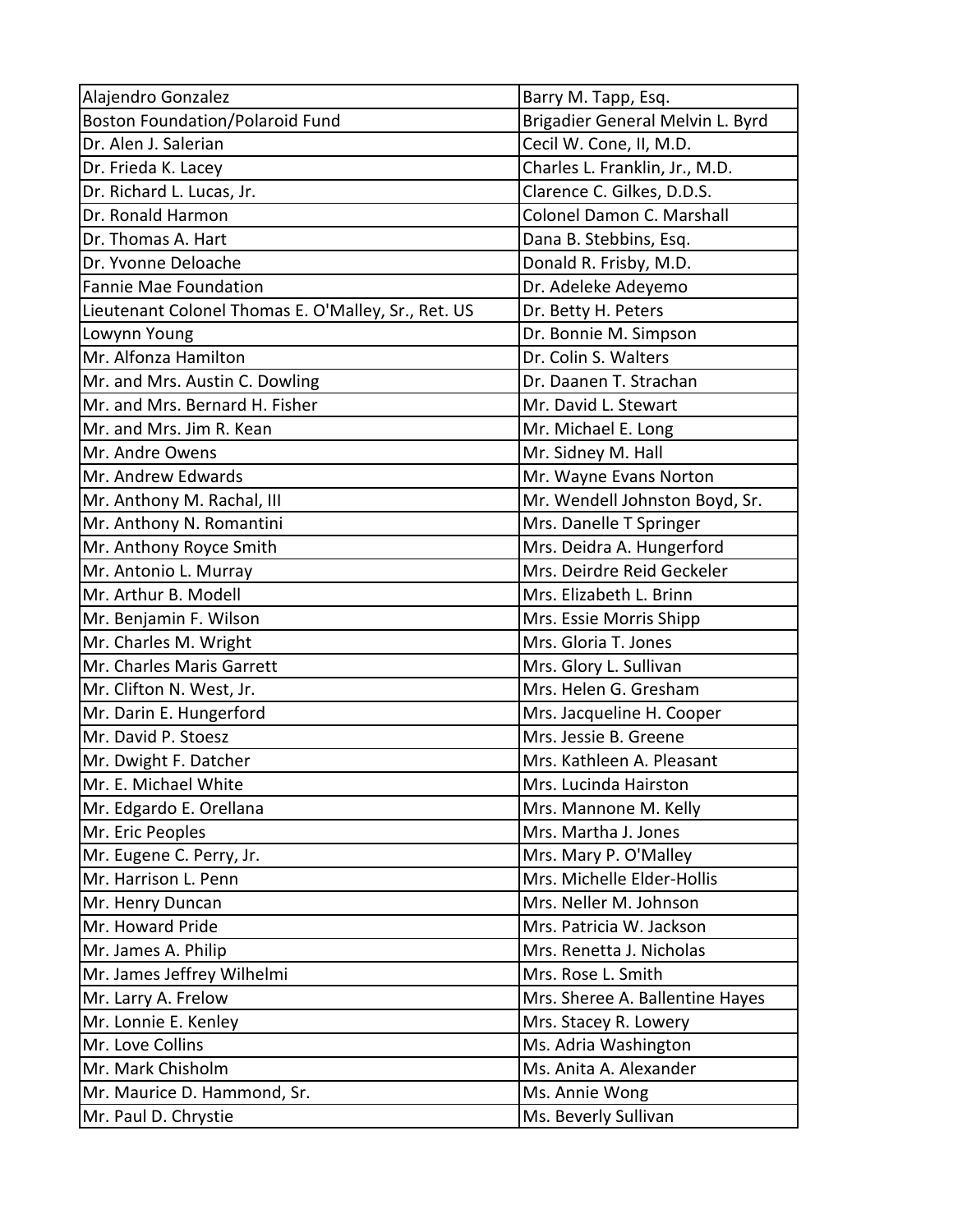| Alajendro Gonzalez                                  | Barry M. Tapp, Esq.              |
|-----------------------------------------------------|----------------------------------|
| <b>Boston Foundation/Polaroid Fund</b>              | Brigadier General Melvin L. Byrd |
| Dr. Alen J. Salerian                                | Cecil W. Cone, II, M.D.          |
| Dr. Frieda K. Lacey                                 | Charles L. Franklin, Jr., M.D.   |
| Dr. Richard L. Lucas, Jr.                           | Clarence C. Gilkes, D.D.S.       |
| Dr. Ronald Harmon                                   | Colonel Damon C. Marshall        |
| Dr. Thomas A. Hart                                  | Dana B. Stebbins, Esq.           |
| Dr. Yvonne Deloache                                 | Donald R. Frisby, M.D.           |
| <b>Fannie Mae Foundation</b>                        | Dr. Adeleke Adeyemo              |
| Lieutenant Colonel Thomas E. O'Malley, Sr., Ret. US | Dr. Betty H. Peters              |
| Lowynn Young                                        | Dr. Bonnie M. Simpson            |
| Mr. Alfonza Hamilton                                | Dr. Colin S. Walters             |
| Mr. and Mrs. Austin C. Dowling                      | Dr. Daanen T. Strachan           |
| Mr. and Mrs. Bernard H. Fisher                      | Mr. David L. Stewart             |
| Mr. and Mrs. Jim R. Kean                            | Mr. Michael E. Long              |
| Mr. Andre Owens                                     | Mr. Sidney M. Hall               |
| Mr. Andrew Edwards                                  | Mr. Wayne Evans Norton           |
| Mr. Anthony M. Rachal, III                          | Mr. Wendell Johnston Boyd, Sr.   |
| Mr. Anthony N. Romantini                            | Mrs. Danelle T Springer          |
| Mr. Anthony Royce Smith                             | Mrs. Deidra A. Hungerford        |
| Mr. Antonio L. Murray                               | Mrs. Deirdre Reid Geckeler       |
| Mr. Arthur B. Modell                                | Mrs. Elizabeth L. Brinn          |
| Mr. Benjamin F. Wilson                              | Mrs. Essie Morris Shipp          |
| Mr. Charles M. Wright                               | Mrs. Gloria T. Jones             |
| Mr. Charles Maris Garrett                           | Mrs. Glory L. Sullivan           |
| Mr. Clifton N. West, Jr.                            | Mrs. Helen G. Gresham            |
| Mr. Darin E. Hungerford                             | Mrs. Jacqueline H. Cooper        |
| Mr. David P. Stoesz                                 | Mrs. Jessie B. Greene            |
| Mr. Dwight F. Datcher                               | Mrs. Kathleen A. Pleasant        |
| Mr. E. Michael White                                | Mrs. Lucinda Hairston            |
| Mr. Edgardo E. Orellana                             | Mrs. Mannone M. Kelly            |
| Mr. Eric Peoples                                    | Mrs. Martha J. Jones             |
| Mr. Eugene C. Perry, Jr.                            | Mrs. Mary P. O'Malley            |
| Mr. Harrison L. Penn                                | Mrs. Michelle Elder-Hollis       |
| Mr. Henry Duncan                                    | Mrs. Neller M. Johnson           |
| Mr. Howard Pride                                    | Mrs. Patricia W. Jackson         |
| Mr. James A. Philip                                 | Mrs. Renetta J. Nicholas         |
| Mr. James Jeffrey Wilhelmi                          | Mrs. Rose L. Smith               |
| Mr. Larry A. Frelow                                 | Mrs. Sheree A. Ballentine Hayes  |
| Mr. Lonnie E. Kenley                                | Mrs. Stacey R. Lowery            |
| Mr. Love Collins                                    | Ms. Adria Washington             |
| Mr. Mark Chisholm                                   | Ms. Anita A. Alexander           |
| Mr. Maurice D. Hammond, Sr.                         | Ms. Annie Wong                   |
| Mr. Paul D. Chrystie                                | Ms. Beverly Sullivan             |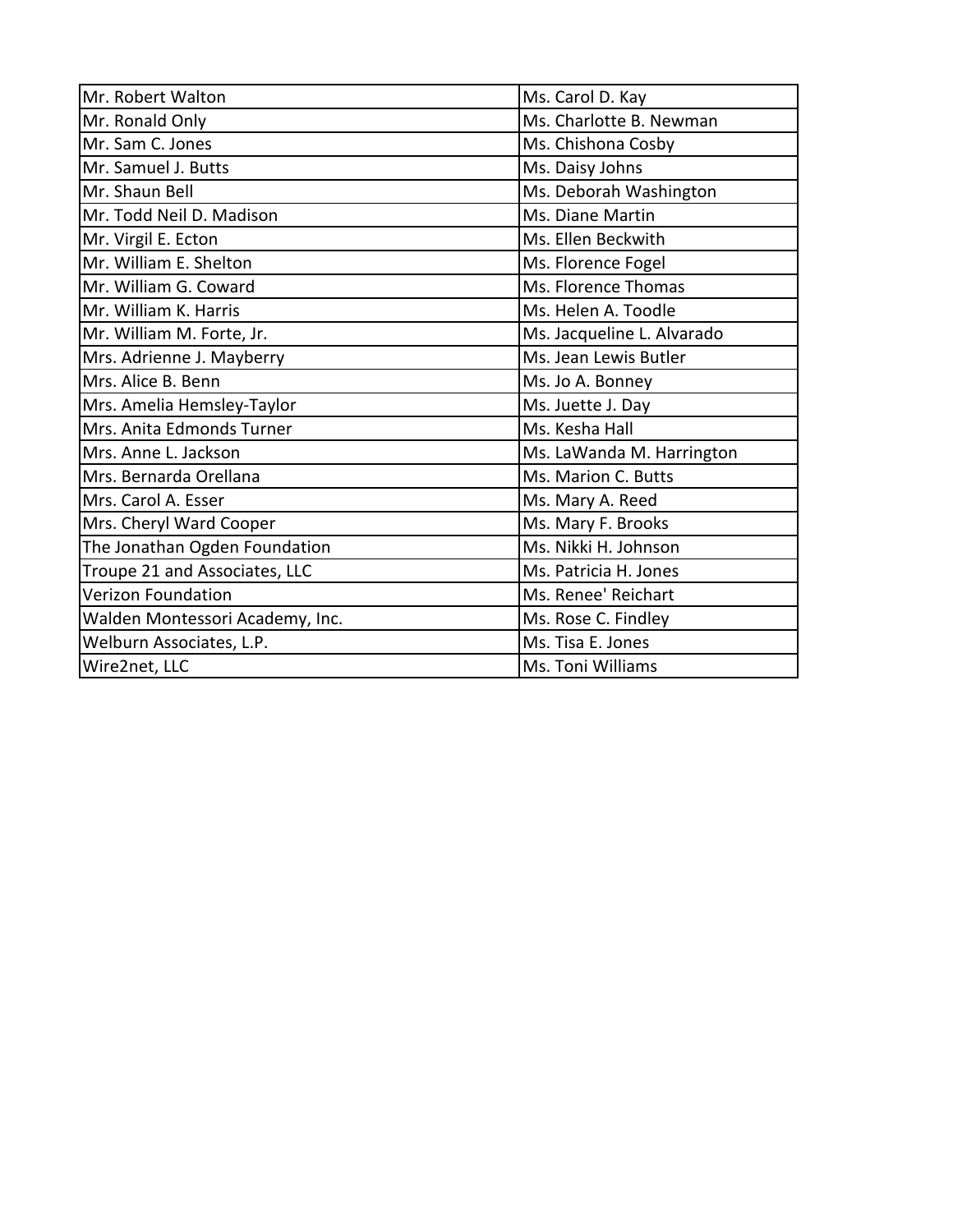| Mr. Robert Walton               | Ms. Carol D. Kay           |
|---------------------------------|----------------------------|
| Mr. Ronald Only                 | Ms. Charlotte B. Newman    |
| Mr. Sam C. Jones                | Ms. Chishona Cosby         |
| Mr. Samuel J. Butts             | Ms. Daisy Johns            |
| Mr. Shaun Bell                  | Ms. Deborah Washington     |
| Mr. Todd Neil D. Madison        | Ms. Diane Martin           |
| Mr. Virgil E. Ecton             | Ms. Ellen Beckwith         |
| Mr. William E. Shelton          | Ms. Florence Fogel         |
| Mr. William G. Coward           | Ms. Florence Thomas        |
| Mr. William K. Harris           | Ms. Helen A. Toodle        |
| Mr. William M. Forte, Jr.       | Ms. Jacqueline L. Alvarado |
| Mrs. Adrienne J. Mayberry       | Ms. Jean Lewis Butler      |
| Mrs. Alice B. Benn              | Ms. Jo A. Bonney           |
| Mrs. Amelia Hemsley-Taylor      | Ms. Juette J. Day          |
| Mrs. Anita Edmonds Turner       | Ms. Kesha Hall             |
| Mrs. Anne L. Jackson            | Ms. LaWanda M. Harrington  |
| Mrs. Bernarda Orellana          | Ms. Marion C. Butts        |
| Mrs. Carol A. Esser             | Ms. Mary A. Reed           |
| Mrs. Cheryl Ward Cooper         | Ms. Mary F. Brooks         |
| The Jonathan Ogden Foundation   | Ms. Nikki H. Johnson       |
| Troupe 21 and Associates, LLC   | Ms. Patricia H. Jones      |
| <b>Verizon Foundation</b>       | Ms. Renee' Reichart        |
| Walden Montessori Academy, Inc. | Ms. Rose C. Findley        |
| Welburn Associates, L.P.        | Ms. Tisa E. Jones          |
| Wire2net, LLC                   | Ms. Toni Williams          |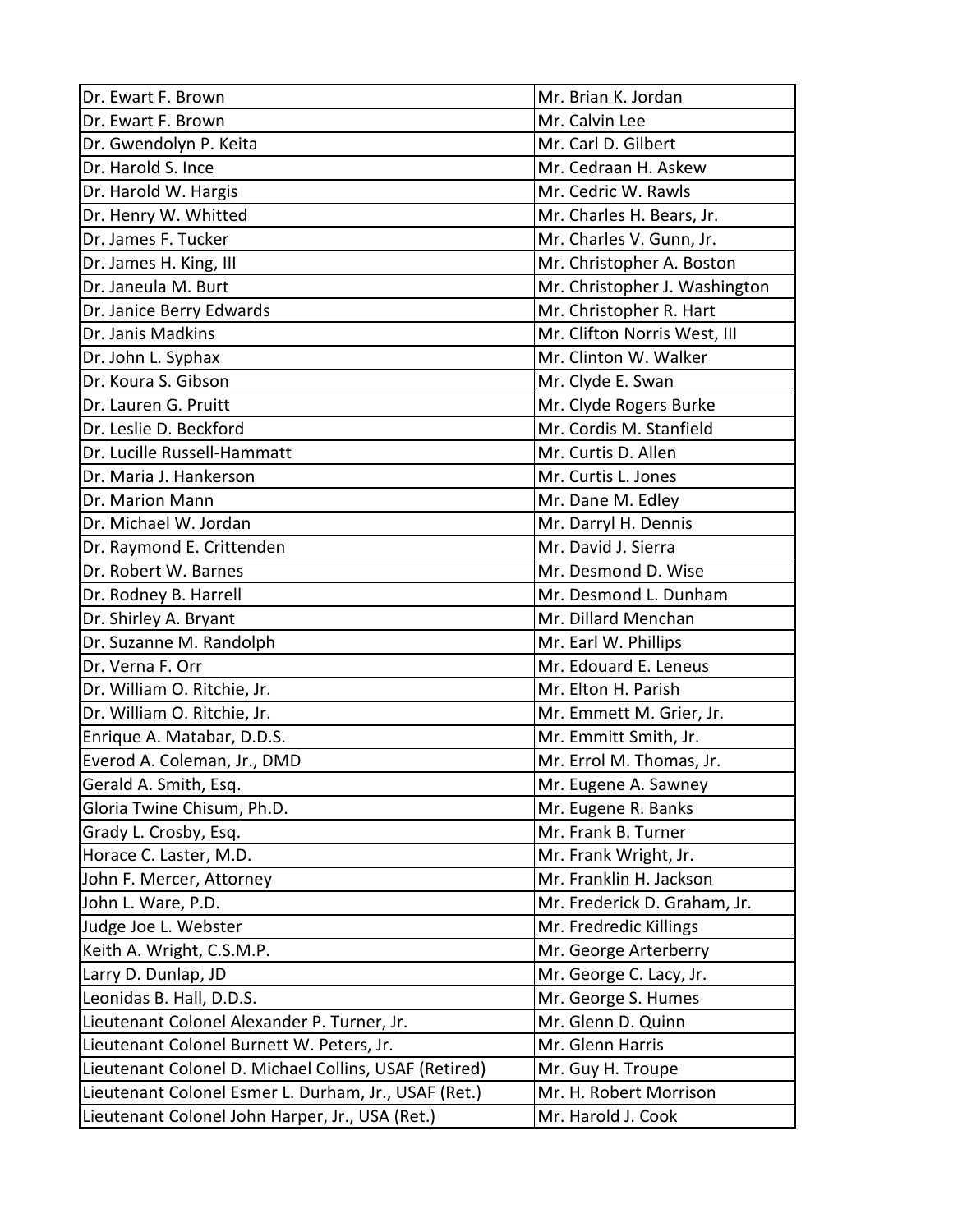| Dr. Ewart F. Brown                                    | Mr. Brian K. Jordan           |
|-------------------------------------------------------|-------------------------------|
| Dr. Ewart F. Brown                                    | Mr. Calvin Lee                |
| Dr. Gwendolyn P. Keita                                | Mr. Carl D. Gilbert           |
| Dr. Harold S. Ince                                    | Mr. Cedraan H. Askew          |
| Dr. Harold W. Hargis                                  | Mr. Cedric W. Rawls           |
| Dr. Henry W. Whitted                                  | Mr. Charles H. Bears, Jr.     |
| Dr. James F. Tucker                                   | Mr. Charles V. Gunn, Jr.      |
| Dr. James H. King, III                                | Mr. Christopher A. Boston     |
| Dr. Janeula M. Burt                                   | Mr. Christopher J. Washington |
| Dr. Janice Berry Edwards                              | Mr. Christopher R. Hart       |
| Dr. Janis Madkins                                     | Mr. Clifton Norris West, III  |
| Dr. John L. Syphax                                    | Mr. Clinton W. Walker         |
| Dr. Koura S. Gibson                                   | Mr. Clyde E. Swan             |
| Dr. Lauren G. Pruitt                                  | Mr. Clyde Rogers Burke        |
| Dr. Leslie D. Beckford                                | Mr. Cordis M. Stanfield       |
| Dr. Lucille Russell-Hammatt                           | Mr. Curtis D. Allen           |
| Dr. Maria J. Hankerson                                | Mr. Curtis L. Jones           |
| Dr. Marion Mann                                       | Mr. Dane M. Edley             |
| Dr. Michael W. Jordan                                 | Mr. Darryl H. Dennis          |
| Dr. Raymond E. Crittenden                             | Mr. David J. Sierra           |
| Dr. Robert W. Barnes                                  | Mr. Desmond D. Wise           |
| Dr. Rodney B. Harrell                                 | Mr. Desmond L. Dunham         |
| Dr. Shirley A. Bryant                                 | Mr. Dillard Menchan           |
| Dr. Suzanne M. Randolph                               | Mr. Earl W. Phillips          |
| Dr. Verna F. Orr                                      | Mr. Edouard E. Leneus         |
| Dr. William O. Ritchie, Jr.                           | Mr. Elton H. Parish           |
| Dr. William O. Ritchie, Jr.                           | Mr. Emmett M. Grier, Jr.      |
| Enrique A. Matabar, D.D.S.                            | Mr. Emmitt Smith, Jr.         |
| Everod A. Coleman, Jr., DMD                           | Mr. Errol M. Thomas, Jr.      |
| Gerald A. Smith, Esq.                                 | Mr. Eugene A. Sawney          |
| Gloria Twine Chisum, Ph.D.                            | Mr. Eugene R. Banks           |
| Grady L. Crosby, Esq.                                 | Mr. Frank B. Turner           |
| Horace C. Laster, M.D.                                | Mr. Frank Wright, Jr.         |
| John F. Mercer, Attorney                              | Mr. Franklin H. Jackson       |
| John L. Ware, P.D.                                    | Mr. Frederick D. Graham, Jr.  |
| Judge Joe L. Webster                                  | Mr. Fredredic Killings        |
| Keith A. Wright, C.S.M.P.                             | Mr. George Arterberry         |
| Larry D. Dunlap, JD                                   | Mr. George C. Lacy, Jr.       |
| Leonidas B. Hall, D.D.S.                              | Mr. George S. Humes           |
| Lieutenant Colonel Alexander P. Turner, Jr.           | Mr. Glenn D. Quinn            |
| Lieutenant Colonel Burnett W. Peters, Jr.             | Mr. Glenn Harris              |
| Lieutenant Colonel D. Michael Collins, USAF (Retired) | Mr. Guy H. Troupe             |
| Lieutenant Colonel Esmer L. Durham, Jr., USAF (Ret.)  | Mr. H. Robert Morrison        |
| Lieutenant Colonel John Harper, Jr., USA (Ret.)       | Mr. Harold J. Cook            |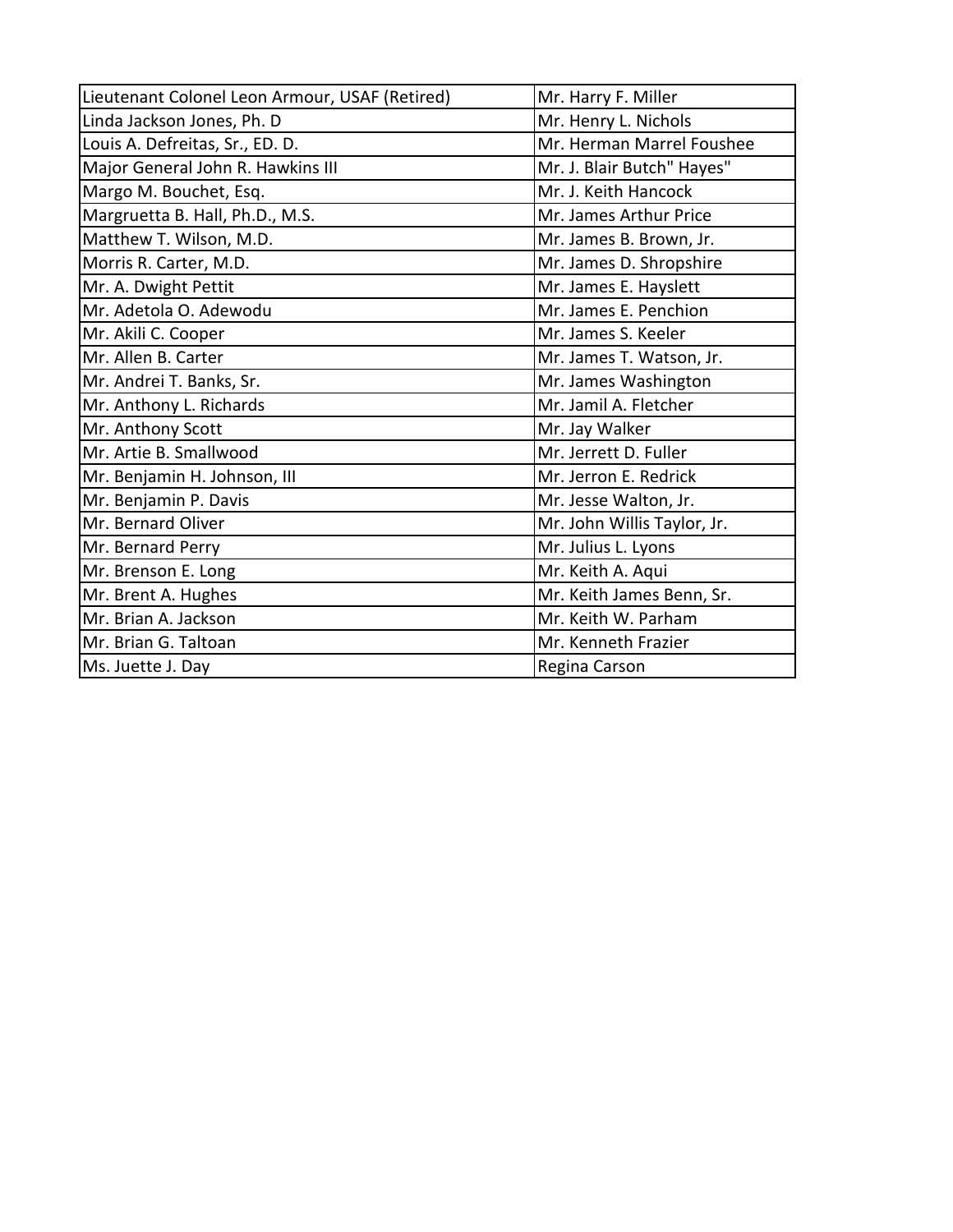| Lieutenant Colonel Leon Armour, USAF (Retired) | Mr. Harry F. Miller         |
|------------------------------------------------|-----------------------------|
| Linda Jackson Jones, Ph. D                     | Mr. Henry L. Nichols        |
| Louis A. Defreitas, Sr., ED. D.                | Mr. Herman Marrel Foushee   |
| Major General John R. Hawkins III              | Mr. J. Blair Butch" Hayes"  |
| Margo M. Bouchet, Esq.                         | Mr. J. Keith Hancock        |
| Margruetta B. Hall, Ph.D., M.S.                | Mr. James Arthur Price      |
| Matthew T. Wilson, M.D.                        | Mr. James B. Brown, Jr.     |
| Morris R. Carter, M.D.                         | Mr. James D. Shropshire     |
| Mr. A. Dwight Pettit                           | Mr. James E. Hayslett       |
| Mr. Adetola O. Adewodu                         | Mr. James E. Penchion       |
| Mr. Akili C. Cooper                            | Mr. James S. Keeler         |
| Mr. Allen B. Carter                            | Mr. James T. Watson, Jr.    |
| Mr. Andrei T. Banks, Sr.                       | Mr. James Washington        |
| Mr. Anthony L. Richards                        | Mr. Jamil A. Fletcher       |
| Mr. Anthony Scott                              | Mr. Jay Walker              |
| Mr. Artie B. Smallwood                         | Mr. Jerrett D. Fuller       |
| Mr. Benjamin H. Johnson, III                   | Mr. Jerron E. Redrick       |
| Mr. Benjamin P. Davis                          | Mr. Jesse Walton, Jr.       |
| Mr. Bernard Oliver                             | Mr. John Willis Taylor, Jr. |
| Mr. Bernard Perry                              | Mr. Julius L. Lyons         |
| Mr. Brenson E. Long                            | Mr. Keith A. Aqui           |
| Mr. Brent A. Hughes                            | Mr. Keith James Benn, Sr.   |
| Mr. Brian A. Jackson                           | Mr. Keith W. Parham         |
| Mr. Brian G. Taltoan                           | Mr. Kenneth Frazier         |
| Ms. Juette J. Day                              | Regina Carson               |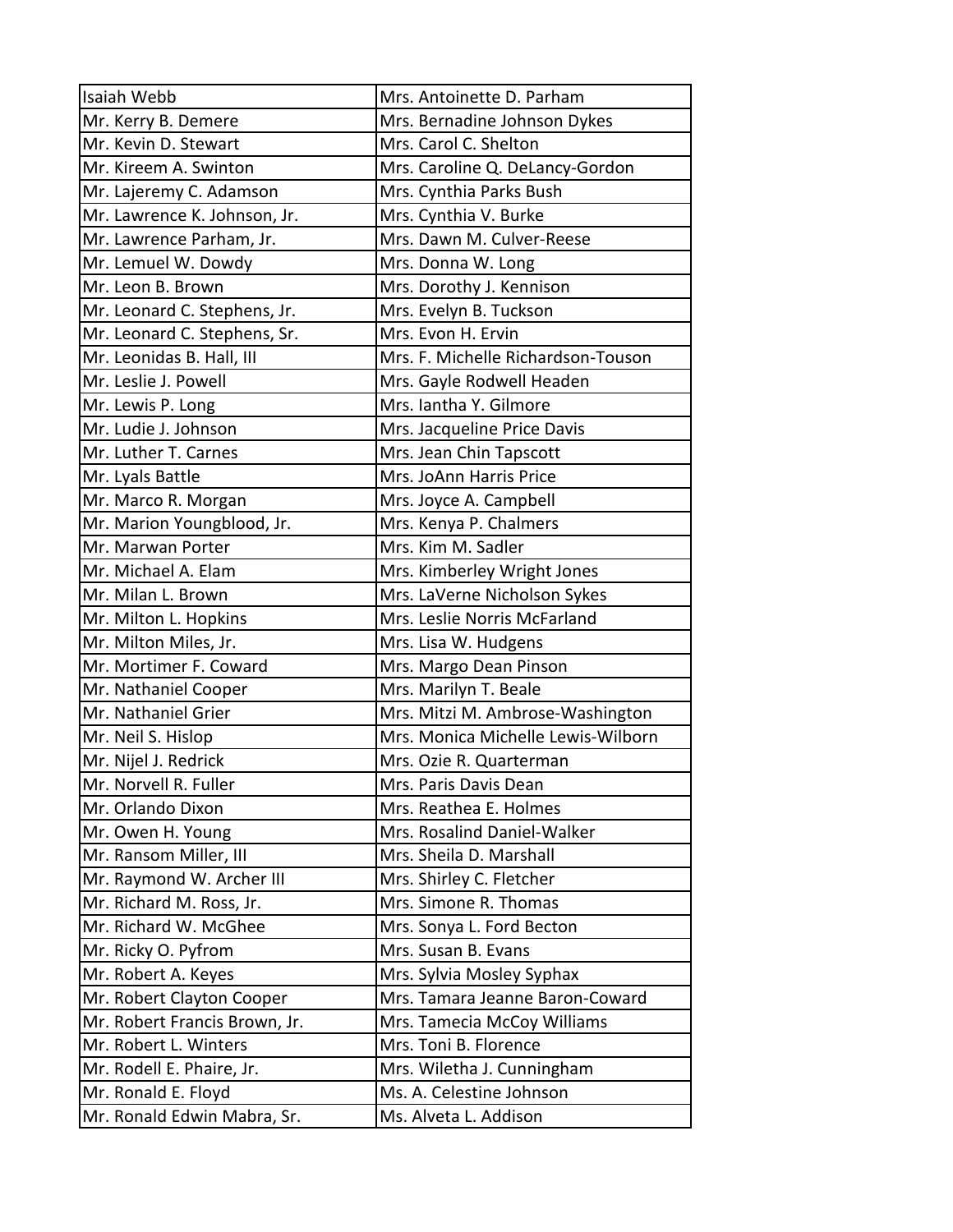| Isaiah Webb                   | Mrs. Antoinette D. Parham          |
|-------------------------------|------------------------------------|
| Mr. Kerry B. Demere           | Mrs. Bernadine Johnson Dykes       |
| Mr. Kevin D. Stewart          | Mrs. Carol C. Shelton              |
| Mr. Kireem A. Swinton         | Mrs. Caroline Q. DeLancy-Gordon    |
| Mr. Lajeremy C. Adamson       | Mrs. Cynthia Parks Bush            |
| Mr. Lawrence K. Johnson, Jr.  | Mrs. Cynthia V. Burke              |
| Mr. Lawrence Parham, Jr.      | Mrs. Dawn M. Culver-Reese          |
| Mr. Lemuel W. Dowdy           | Mrs. Donna W. Long                 |
| Mr. Leon B. Brown             | Mrs. Dorothy J. Kennison           |
| Mr. Leonard C. Stephens, Jr.  | Mrs. Evelyn B. Tuckson             |
| Mr. Leonard C. Stephens, Sr.  | Mrs. Evon H. Ervin                 |
| Mr. Leonidas B. Hall, III     | Mrs. F. Michelle Richardson-Touson |
| Mr. Leslie J. Powell          | Mrs. Gayle Rodwell Headen          |
| Mr. Lewis P. Long             | Mrs. Iantha Y. Gilmore             |
| Mr. Ludie J. Johnson          | Mrs. Jacqueline Price Davis        |
| Mr. Luther T. Carnes          | Mrs. Jean Chin Tapscott            |
| Mr. Lyals Battle              | Mrs. JoAnn Harris Price            |
| Mr. Marco R. Morgan           | Mrs. Joyce A. Campbell             |
| Mr. Marion Youngblood, Jr.    | Mrs. Kenya P. Chalmers             |
| Mr. Marwan Porter             | Mrs. Kim M. Sadler                 |
| Mr. Michael A. Elam           | Mrs. Kimberley Wright Jones        |
| Mr. Milan L. Brown            | Mrs. LaVerne Nicholson Sykes       |
| Mr. Milton L. Hopkins         | Mrs. Leslie Norris McFarland       |
| Mr. Milton Miles, Jr.         | Mrs. Lisa W. Hudgens               |
| Mr. Mortimer F. Coward        | Mrs. Margo Dean Pinson             |
| Mr. Nathaniel Cooper          | Mrs. Marilyn T. Beale              |
| Mr. Nathaniel Grier           | Mrs. Mitzi M. Ambrose-Washington   |
| Mr. Neil S. Hislop            | Mrs. Monica Michelle Lewis-Wilborn |
| Mr. Nijel J. Redrick          | Mrs. Ozie R. Quarterman            |
| Mr. Norvell R. Fuller         | Mrs. Paris Davis Dean              |
| Mr. Orlando Dixon             | Mrs. Reathea E. Holmes             |
| Mr. Owen H. Young             | Mrs. Rosalind Daniel-Walker        |
| Mr. Ransom Miller, III        | Mrs. Sheila D. Marshall            |
| Mr. Raymond W. Archer III     | Mrs. Shirley C. Fletcher           |
| Mr. Richard M. Ross, Jr.      | Mrs. Simone R. Thomas              |
| Mr. Richard W. McGhee         | Mrs. Sonya L. Ford Becton          |
| Mr. Ricky O. Pyfrom           | Mrs. Susan B. Evans                |
| Mr. Robert A. Keyes           | Mrs. Sylvia Mosley Syphax          |
| Mr. Robert Clayton Cooper     | Mrs. Tamara Jeanne Baron-Coward    |
| Mr. Robert Francis Brown, Jr. | Mrs. Tamecia McCoy Williams        |
| Mr. Robert L. Winters         | Mrs. Toni B. Florence              |
| Mr. Rodell E. Phaire, Jr.     | Mrs. Wiletha J. Cunningham         |
| Mr. Ronald E. Floyd           | Ms. A. Celestine Johnson           |
| Mr. Ronald Edwin Mabra, Sr.   | Ms. Alveta L. Addison              |
|                               |                                    |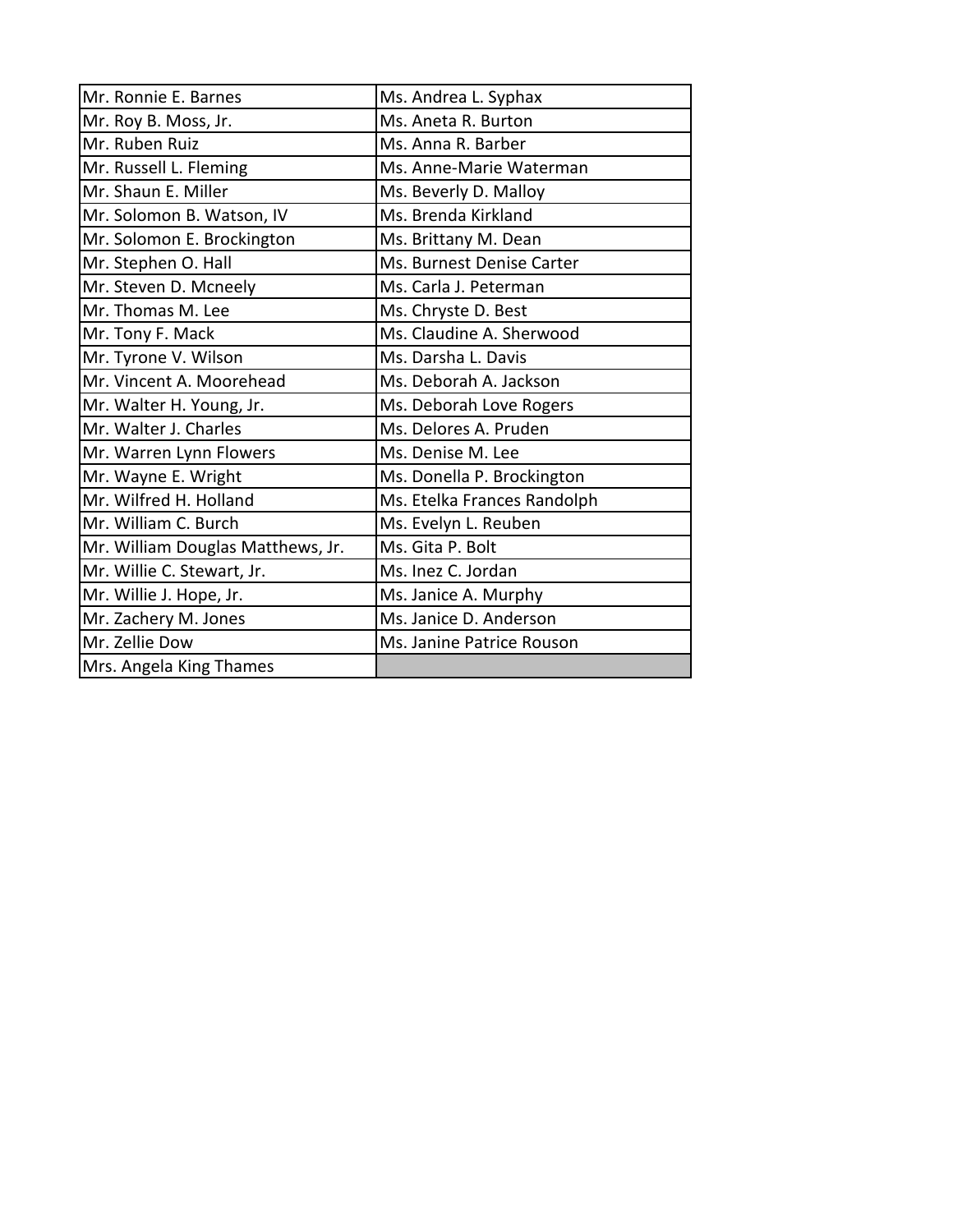| Mr. Ronnie E. Barnes              | Ms. Andrea L. Syphax        |
|-----------------------------------|-----------------------------|
| Mr. Roy B. Moss, Jr.              | Ms. Aneta R. Burton         |
| Mr. Ruben Ruiz                    | Ms. Anna R. Barber          |
| Mr. Russell L. Fleming            | Ms. Anne-Marie Waterman     |
| Mr. Shaun E. Miller               | Ms. Beverly D. Malloy       |
| Mr. Solomon B. Watson, IV         | Ms. Brenda Kirkland         |
| Mr. Solomon E. Brockington        | Ms. Brittany M. Dean        |
| Mr. Stephen O. Hall               | Ms. Burnest Denise Carter   |
| Mr. Steven D. Mcneely             | Ms. Carla J. Peterman       |
| Mr. Thomas M. Lee                 | Ms. Chryste D. Best         |
| Mr. Tony F. Mack                  | Ms. Claudine A. Sherwood    |
| Mr. Tyrone V. Wilson              | Ms. Darsha L. Davis         |
| Mr. Vincent A. Moorehead          | Ms. Deborah A. Jackson      |
| Mr. Walter H. Young, Jr.          | Ms. Deborah Love Rogers     |
| Mr. Walter J. Charles             | Ms. Delores A. Pruden       |
| Mr. Warren Lynn Flowers           | Ms. Denise M. Lee           |
| Mr. Wayne E. Wright               | Ms. Donella P. Brockington  |
| Mr. Wilfred H. Holland            | Ms. Etelka Frances Randolph |
| Mr. William C. Burch              | Ms. Evelyn L. Reuben        |
| Mr. William Douglas Matthews, Jr. | Ms. Gita P. Bolt            |
| Mr. Willie C. Stewart, Jr.        | Ms. Inez C. Jordan          |
| Mr. Willie J. Hope, Jr.           | Ms. Janice A. Murphy        |
| Mr. Zachery M. Jones              | Ms. Janice D. Anderson      |
| Mr. Zellie Dow                    | Ms. Janine Patrice Rouson   |
| Mrs. Angela King Thames           |                             |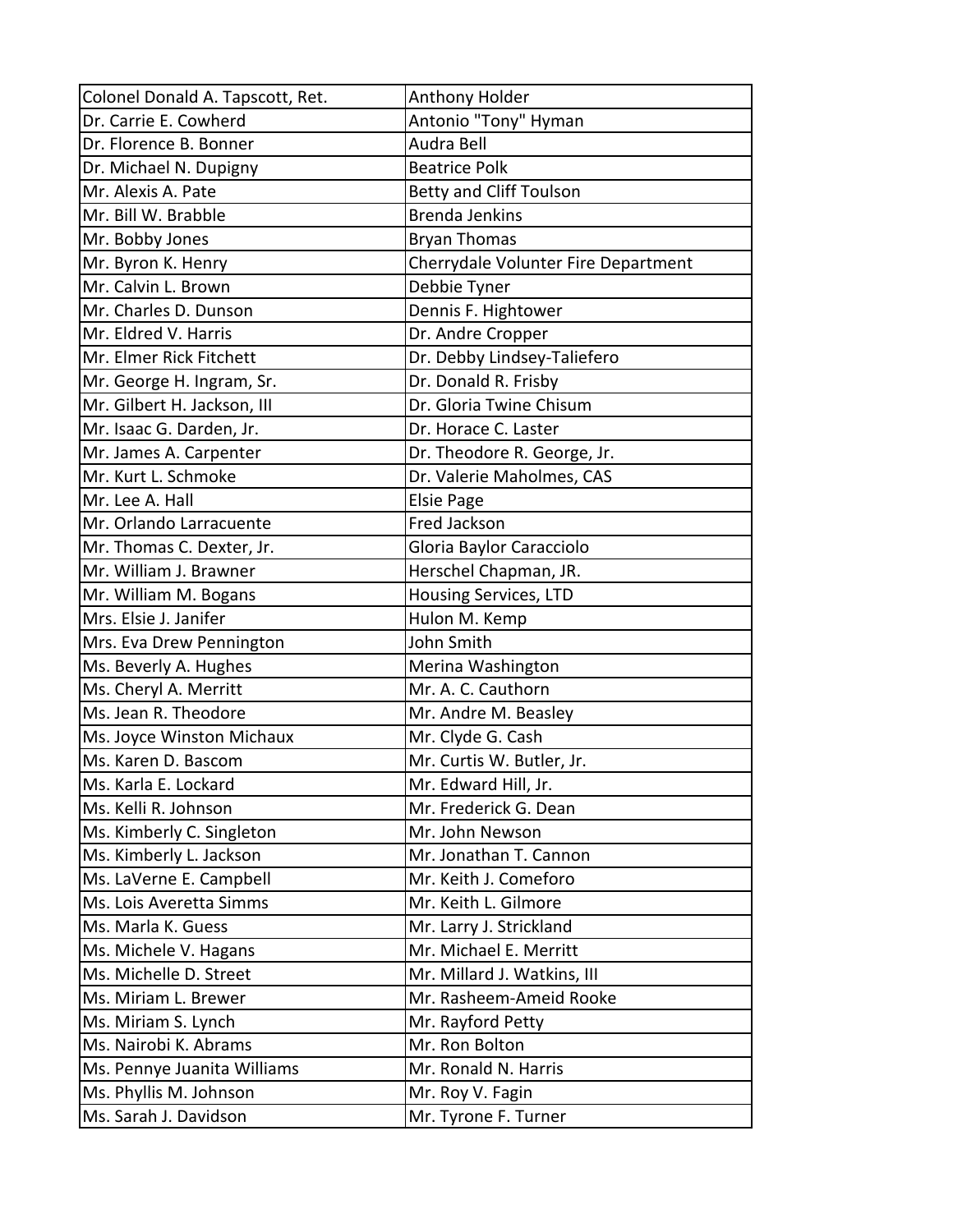| Colonel Donald A. Tapscott, Ret. | Anthony Holder                      |
|----------------------------------|-------------------------------------|
| Dr. Carrie E. Cowherd            | Antonio "Tony" Hyman                |
| Dr. Florence B. Bonner           | Audra Bell                          |
| Dr. Michael N. Dupigny           | <b>Beatrice Polk</b>                |
| Mr. Alexis A. Pate               | <b>Betty and Cliff Toulson</b>      |
| Mr. Bill W. Brabble              | <b>Brenda Jenkins</b>               |
| Mr. Bobby Jones                  | <b>Bryan Thomas</b>                 |
| Mr. Byron K. Henry               | Cherrydale Volunter Fire Department |
| Mr. Calvin L. Brown              | Debbie Tyner                        |
| Mr. Charles D. Dunson            | Dennis F. Hightower                 |
| Mr. Eldred V. Harris             | Dr. Andre Cropper                   |
| Mr. Elmer Rick Fitchett          | Dr. Debby Lindsey-Taliefero         |
| Mr. George H. Ingram, Sr.        | Dr. Donald R. Frisby                |
| Mr. Gilbert H. Jackson, III      | Dr. Gloria Twine Chisum             |
| Mr. Isaac G. Darden, Jr.         | Dr. Horace C. Laster                |
| Mr. James A. Carpenter           | Dr. Theodore R. George, Jr.         |
| Mr. Kurt L. Schmoke              | Dr. Valerie Maholmes, CAS           |
| Mr. Lee A. Hall                  | <b>Elsie Page</b>                   |
| Mr. Orlando Larracuente          | Fred Jackson                        |
| Mr. Thomas C. Dexter, Jr.        | Gloria Baylor Caracciolo            |
| Mr. William J. Brawner           | Herschel Chapman, JR.               |
| Mr. William M. Bogans            | Housing Services, LTD               |
| Mrs. Elsie J. Janifer            | Hulon M. Kemp                       |
| Mrs. Eva Drew Pennington         | John Smith                          |
| Ms. Beverly A. Hughes            | Merina Washington                   |
| Ms. Cheryl A. Merritt            | Mr. A. C. Cauthorn                  |
| Ms. Jean R. Theodore             | Mr. Andre M. Beasley                |
| Ms. Joyce Winston Michaux        | Mr. Clyde G. Cash                   |
| Ms. Karen D. Bascom              | Mr. Curtis W. Butler, Jr.           |
| Ms. Karla E. Lockard             | Mr. Edward Hill, Jr.                |
| Ms. Kelli R. Johnson             | Mr. Frederick G. Dean               |
| Ms. Kimberly C. Singleton        | Mr. John Newson                     |
| Ms. Kimberly L. Jackson          | Mr. Jonathan T. Cannon              |
| Ms. LaVerne E. Campbell          | Mr. Keith J. Comeforo               |
| Ms. Lois Averetta Simms          | Mr. Keith L. Gilmore                |
| Ms. Marla K. Guess               | Mr. Larry J. Strickland             |
| Ms. Michele V. Hagans            | Mr. Michael E. Merritt              |
| Ms. Michelle D. Street           | Mr. Millard J. Watkins, III         |
| Ms. Miriam L. Brewer             | Mr. Rasheem-Ameid Rooke             |
| Ms. Miriam S. Lynch              | Mr. Rayford Petty                   |
| Ms. Nairobi K. Abrams            | Mr. Ron Bolton                      |
| Ms. Pennye Juanita Williams      | Mr. Ronald N. Harris                |
| Ms. Phyllis M. Johnson           | Mr. Roy V. Fagin                    |
| Ms. Sarah J. Davidson            | Mr. Tyrone F. Turner                |